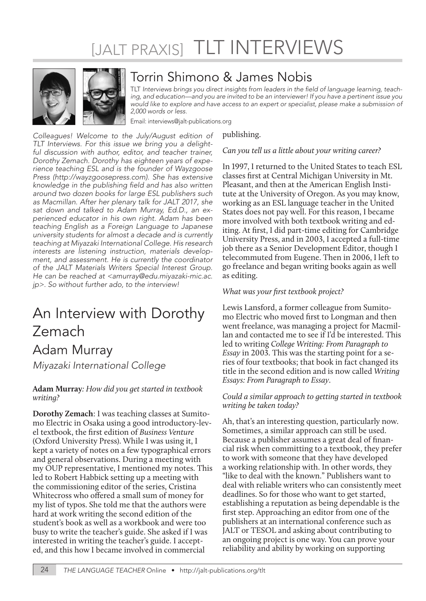# [JALT PRAXIS] TLT INTERVIEWS



### Torrin Shimono & James Nobis

TLT Interviews brings you direct insights from leaders in the field of language learning, teaching, and education—and you are invited to be an interviewer! If you have a pertinent issue you would like to explore and have access to an expert or specialist, please make a submission of 2,000 words or less.

Email: interviews@jalt-publications.org

*Colleagues! Welcome to the July/August edition of TLT Interviews. For this issue we bring you a delightful discussion with author, editor, and teacher trainer, Dorothy Zemach. Dorothy has eighteen years of experience teaching ESL and is the founder of Wayzgoose Press (http://wayzgoosepress.com). She has extensive*  knowledge in the publishing field and has also written *around two dozen books for large ESL publishers such as Macmillan. After her plenary talk for JALT 2017, she sat down and talked to Adam Murray, Ed.D., an experienced educator in his own right. Adam has been teaching English as a Foreign Language to Japanese university students for almost a decade and is currently teaching at Miyazaki International College. His research interests are listening instruction, materials development, and assessment. He is currently the coordinator of the JALT Materials Writers Special Interest Group. He can be reached at <amurray@edu.miyazaki-mic.ac. jp>. So without further ado, to the interview!*

## An Interview with Dorothy Zemach

### Adam Murray

*Miyazaki International College*

#### **Adam Murray***: How did you get started in textbook writing?*

**Dorothy Zemach**: I was teaching classes at Sumitomo Electric in Osaka using a good introductory-level textbook, the first edition of *Business Venture* (Oxford University Press). While I was using it, I kept a variety of notes on a few typographical errors and general observations. During a meeting with my OUP representative, I mentioned my notes. This led to Robert Habbick setting up a meeting with the commissioning editor of the series, Cristina Whitecross who offered a small sum of money for my list of typos. She told me that the authors were hard at work writing the second edition of the student's book as well as a workbook and were too busy to write the teacher's guide. She asked if I was interested in writing the teacher's guide. I accepted, and this how I became involved in commercial

publishing.

#### *Can you tell us a little about your writing career?*

In 1997, I returned to the United States to teach ESL classes first at Central Michigan University in Mt. Pleasant, and then at the American English Institute at the University of Oregon. As you may know, working as an ESL language teacher in the United States does not pay well. For this reason, I became more involved with both textbook writing and editing. At first, I did part-time editing for Cambridge University Press, and in 2003, I accepted a full-time job there as a Senior Development Editor, though I telecommuted from Eugene. Then in 2006, I left to go freelance and began writing books again as well as editing.

#### *What was your first textbook project?*

Lewis Lansford, a former colleague from Sumitomo Electric who moved first to Longman and then went freelance, was managing a project for Macmillan and contacted me to see if I'd be interested. This led to writing *College Writing: From Paragraph to Essay* in 2003. This was the starting point for a series of four textbooks; that book in fact changed its title in the second edition and is now called *Writing Essays: From Paragraph to Essay*.

#### *Could a similar approach to getting started in textbook writing be taken today?*

Ah, that's an interesting question, particularly now. Sometimes, a similar approach can still be used. Because a publisher assumes a great deal of financial risk when committing to a textbook, they prefer to work with someone that they have developed a working relationship with. In other words, they "like to deal with the known." Publishers want to deal with reliable writers who can consistently meet deadlines. So for those who want to get started, establishing a reputation as being dependable is the first step. Approaching an editor from one of the publishers at an international conference such as JALT or TESOL and asking about contributing to an ongoing project is one way. You can prove your reliability and ability by working on supporting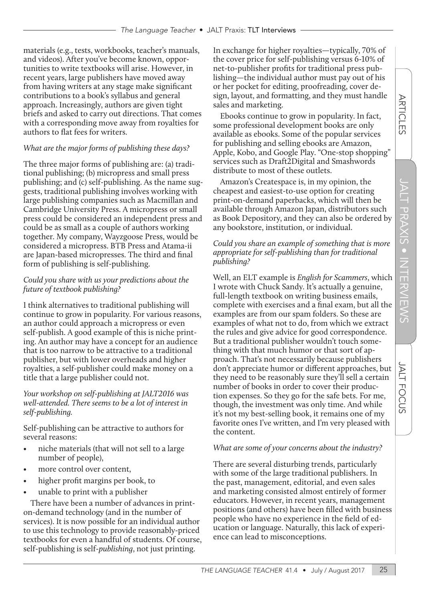JALT

**FOCUS** 

materials (e.g., tests, workbooks, teacher's manuals, and videos). After you've become known, opportunities to write textbooks will arise. However, in recent years, large publishers have moved away from having writers at any stage make significant contributions to a book's syllabus and general approach. Increasingly, authors are given tight briefs and asked to carry out directions. That comes with a corresponding move away from royalties for authors to flat fees for writers.

#### *What are the major forms of publishing these days?*

The three major forms of publishing are: (a) traditional publishing; (b) micropress and small press publishing; and (c) self-publishing. As the name suggests, traditional publishing involves working with large publishing companies such as Macmillan and Cambridge University Press. A micropress or small press could be considered an independent press and could be as small as a couple of authors working together. My company, Wayzgoose Press, would be considered a micropress. BTB Press and Atama-ii are Japan-based micropresses. The third and final form of publishing is self-publishing.

#### *Could you share with us your predictions about the future of textbook publishing?*

I think alternatives to traditional publishing will continue to grow in popularity. For various reasons, an author could approach a micropress or even self-publish. A good example of this is niche printing. An author may have a concept for an audience that is too narrow to be attractive to a traditional publisher, but with lower overheads and higher royalties, a self-publisher could make money on a title that a large publisher could not.

*Your workshop on self-publishing at JALT2016 was well-attended. There seems to be a lot of interest in self-publishing.* 

Self-publishing can be attractive to authors for several reasons:

- niche materials (that will not sell to a large number of people),
- more control over content,
- higher profit margins per book, to
- unable to print with a publisher

There have been a number of advances in printon-demand technology (and in the number of services). It is now possible for an individual author to use this technology to provide reasonably-priced textbooks for even a handful of students. Of course, self-publishing is self-*publishing*, not just printing.

In exchange for higher royalties—typically, 70% of the cover price for self-publishing versus 6-10% of net-to-publisher profits for traditional press publishing—the individual author must pay out of his or her pocket for editing, proofreading, cover design, layout, and formatting, and they must handle sales and marketing.

Ebooks continue to grow in popularity. In fact, some professional development books are only available as ebooks. Some of the popular services for publishing and selling ebooks are Amazon, Apple, Kobo, and Google Play. "One-stop shopping" services such as Draft2Digital and Smashwords distribute to most of these outlets.

Amazon's Createspace is, in my opinion, the cheapest and easiest-to-use option for creating print-on-demand paperbacks, which will then be available through Amazon Japan, distributors such as Book Depository, and they can also be ordered by any bookstore, institution, or individual.

#### *Could you share an example of something that is more appropriate for self-publishing than for traditional publishing?*

Well, an ELT example is *English for Scammers*, which I wrote with Chuck Sandy. It's actually a genuine, full-length textbook on writing business emails, complete with exercises and a final exam, but all the examples are from our spam folders. So these are examples of what not to do, from which we extract the rules and give advice for good correspondence. But a traditional publisher wouldn't touch something with that much humor or that sort of approach. That's not necessarily because publishers don't appreciate humor or different approaches, but they need to be reasonably sure they'll sell a certain number of books in order to cover their production expenses. So they go for the safe bets. For me, though, the investment was only time. And while it's not my best-selling book, it remains one of my favorite ones I've written, and I'm very pleased with the content.

#### *What are some of your concerns about the industry?*

There are several disturbing trends, particularly with some of the large traditional publishers. In the past, management, editorial, and even sales and marketing consisted almost entirely of former educators. However, in recent years, management positions (and others) have been filled with business people who have no experience in the field of education or language. Naturally, this lack of experience can lead to misconceptions.